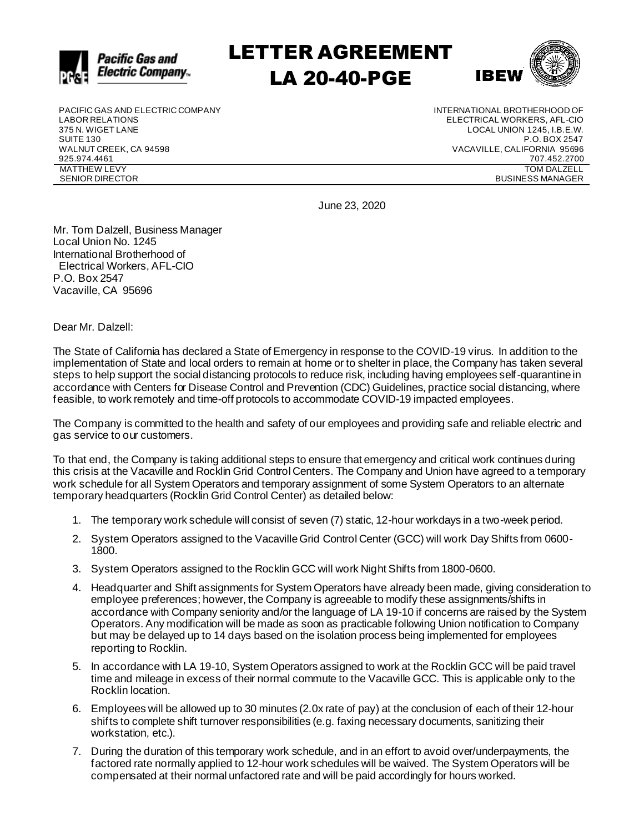

LETTER AGREEMENT LA 20-40-PGE



PACIFIC GAS AND ELECTRIC COMPANY LABOR RELATIONS 375 N. WIGET LANE SUITE 130 WALNUT CREEK, CA 94598 925.974.4461 MATTHEW LEVY SENIOR DIRECTOR

INTERNATIONAL BROTHERHOOD OF ELECTRICAL WORKERS, AFL-CIO LOCAL UNION 1245, I.B.E.W. P.O. BOX 2547 VACAVILLE, CALIFORNIA 95696 707.452.2700 TOM DALZELL BUSINESS MANAGER

June 23, 2020

Mr. Tom Dalzell, Business Manager Local Union No. 1245 International Brotherhood of Electrical Workers, AFL-CIO P.O. Box 2547 Vacaville, CA 95696

Dear Mr. Dalzell:

The State of California has declared a State of Emergency in response to the COVID-19 virus. In addition to the implementation of State and local orders to remain at home or to shelter in place, the Company has taken several steps to help support the social distancing protocols to reduce risk, including having employees self-quarantine in accordance with Centers for Disease Control and Prevention (CDC) Guidelines, practice social distancing, where feasible, to work remotely and time-off protocols to accommodate COVID-19 impacted employees.

The Company is committed to the health and safety of our employees and providing safe and reliable electric and gas service to our customers.

To that end, the Company is taking additional steps to ensure that emergency and critical work continues during this crisis at the Vacaville and Rocklin Grid Control Centers. The Company and Union have agreed to a temporary work schedule for all System Operators and temporary assignment of some System Operators to an alternate temporary headquarters (Rocklin Grid Control Center) as detailed below:

- 1. The temporary work schedule will consist of seven (7) static, 12-hour workdays in a two-week period.
- 2. System Operators assigned to the Vacaville Grid Control Center (GCC) will work Day Shifts from 0600- 1800.
- 3. System Operators assigned to the Rocklin GCC will work Night Shifts from 1800-0600.
- 4. Headquarter and Shift assignments for System Operators have already been made, giving consideration to employee preferences; however, the Company is agreeable to modify these assignments/shifts in accordance with Company seniority and/or the language of LA 19-10 if concerns are raised by the System Operators. Any modification will be made as soon as practicable following Union notification to Company but may be delayed up to 14 days based on the isolation process being implemented for employees reporting to Rocklin.
- 5. In accordance with LA 19-10, System Operators assigned to work at the Rocklin GCC will be paid travel time and mileage in excess of their normal commute to the Vacaville GCC. This is applicable only to the Rocklin location.
- 6. Employees will be allowed up to 30 minutes (2.0x rate of pay) at the conclusion of each of their 12-hour shifts to complete shift turnover responsibilities (e.g. faxing necessary documents, sanitizing their workstation, etc.).
- 7. During the duration of this temporary work schedule, and in an effort to avoid over/underpayments, the factored rate normally applied to 12-hour work schedules will be waived. The System Operators will be compensated at their normal unfactored rate and will be paid accordingly for hours worked.